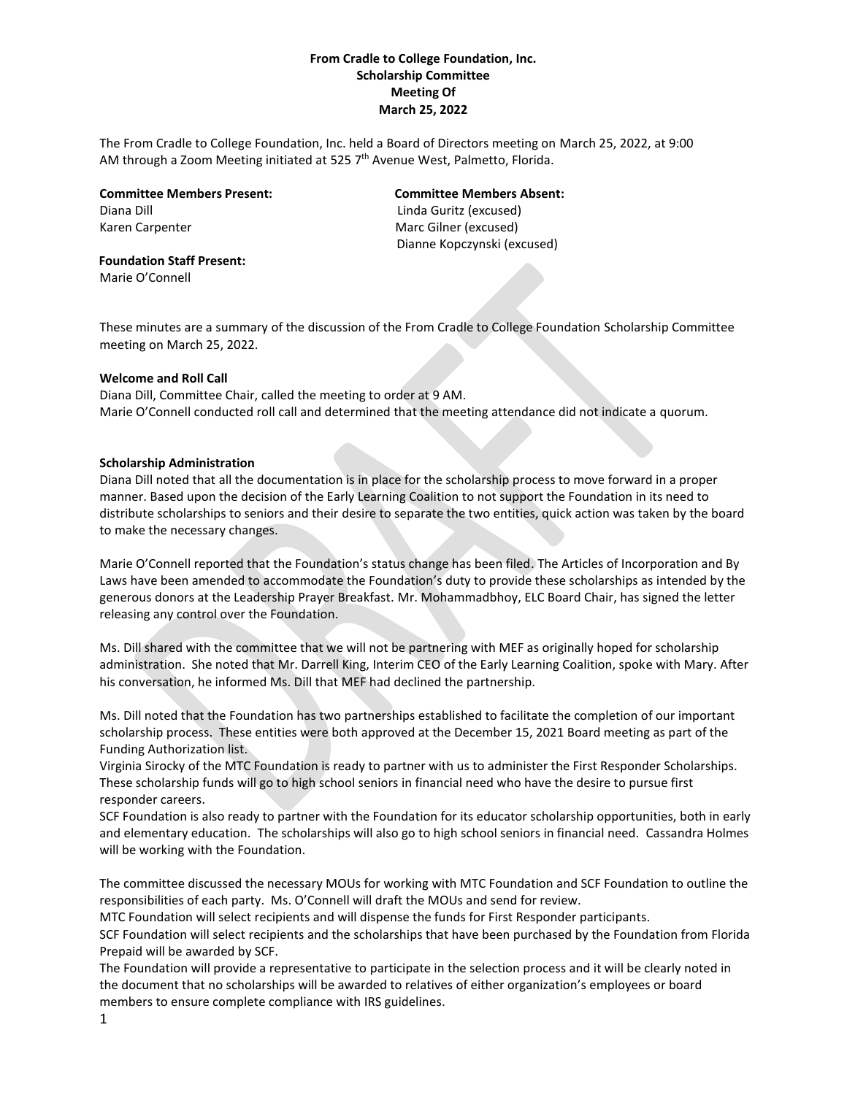# **From Cradle to College Foundation, Inc. Scholarship Committee Meeting Of March 25, 2022**

The From Cradle to College Foundation, Inc. held a Board of Directors meeting on March 25, 2022, at 9:00 AM through a Zoom Meeting initiated at 525 7<sup>th</sup> Avenue West, Palmetto, Florida.

**Committee Members Present: Committee Members Absent:** Diana Dill Linda Guritz (excused) Karen Carpenter Marc Gilner (excused)

Dianne Kopczynski (excused)

**Foundation Staff Present:** Marie O'Connell

These minutes are a summary of the discussion of the From Cradle to College Foundation Scholarship Committee meeting on March 25, 2022.

### **Welcome and Roll Call**

Diana Dill, Committee Chair, called the meeting to order at 9 AM. Marie O'Connell conducted roll call and determined that the meeting attendance did not indicate a quorum.

### **Scholarship Administration**

Diana Dill noted that all the documentation is in place for the scholarship process to move forward in a proper manner. Based upon the decision of the Early Learning Coalition to not support the Foundation in its need to distribute scholarships to seniors and their desire to separate the two entities, quick action was taken by the board to make the necessary changes.

Marie O'Connell reported that the Foundation's status change has been filed. The Articles of Incorporation and By Laws have been amended to accommodate the Foundation's duty to provide these scholarships as intended by the generous donors at the Leadership Prayer Breakfast. Mr. Mohammadbhoy, ELC Board Chair, has signed the letter releasing any control over the Foundation.

Ms. Dill shared with the committee that we will not be partnering with MEF as originally hoped for scholarship administration. She noted that Mr. Darrell King, Interim CEO of the Early Learning Coalition, spoke with Mary. After his conversation, he informed Ms. Dill that MEF had declined the partnership.

Ms. Dill noted that the Foundation has two partnerships established to facilitate the completion of our important scholarship process. These entities were both approved at the December 15, 2021 Board meeting as part of the Funding Authorization list.

Virginia Sirocky of the MTC Foundation is ready to partner with us to administer the First Responder Scholarships. These scholarship funds will go to high school seniors in financial need who have the desire to pursue first responder careers.

SCF Foundation is also ready to partner with the Foundation for its educator scholarship opportunities, both in early and elementary education. The scholarships will also go to high school seniors in financial need. Cassandra Holmes will be working with the Foundation.

The committee discussed the necessary MOUs for working with MTC Foundation and SCF Foundation to outline the responsibilities of each party. Ms. O'Connell will draft the MOUs and send for review.

MTC Foundation will select recipients and will dispense the funds for First Responder participants.

SCF Foundation will select recipients and the scholarships that have been purchased by the Foundation from Florida Prepaid will be awarded by SCF.

The Foundation will provide a representative to participate in the selection process and it will be clearly noted in the document that no scholarships will be awarded to relatives of either organization's employees or board members to ensure complete compliance with IRS guidelines.